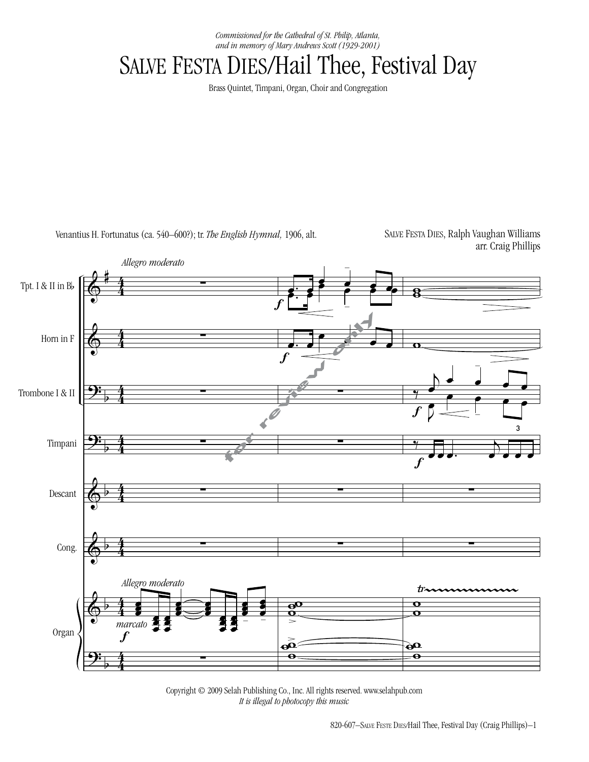*Commissioned for the Cathedral of St. Philip, Atlanta, and in memory of Mary Andrews Scott (1929-2001)*

## SALVE FESTA DIES/Hail Thee, Festival Day

Brass Quintet, Timpani, Organ, Choir and Congregation

Venantius H. Fortunatus (ca. 540–600?); tr. *The English Hymnal,* 1906, alt.

SALVE FESTA DIES, Ralph Vaughan Williams arr. Craig Phillips



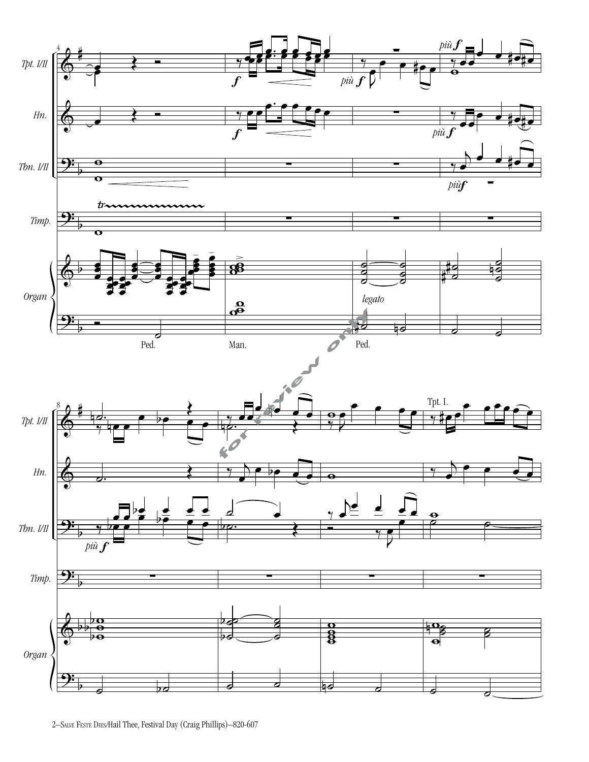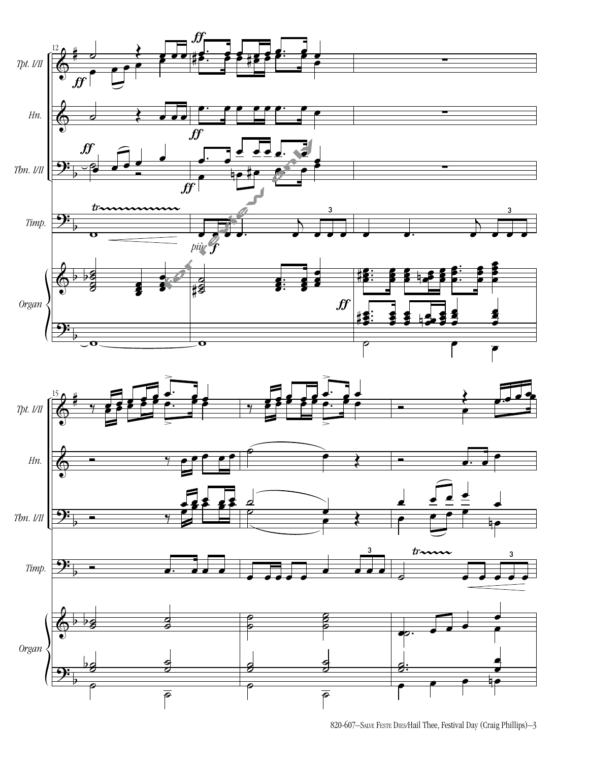